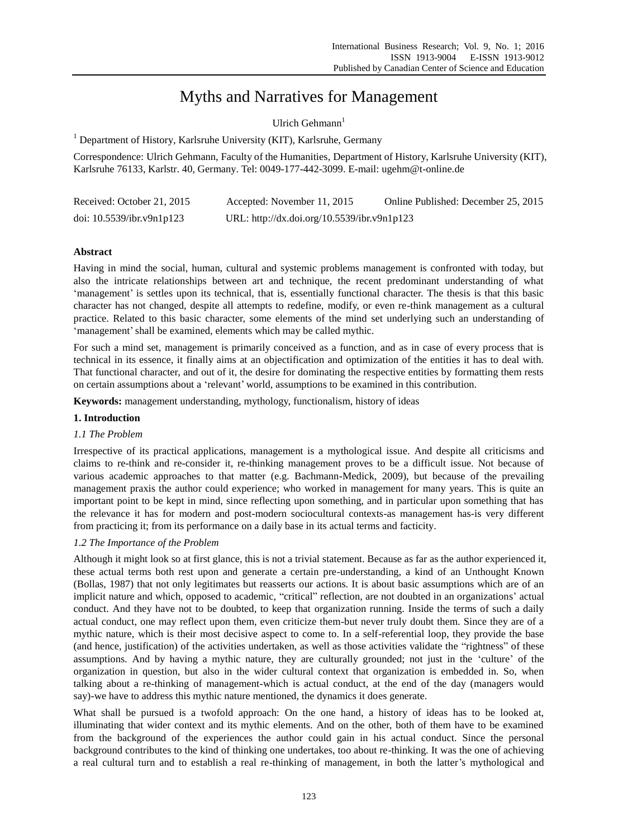# Myths and Narratives for Management

Ulrich Gehmann $1$ 

<sup>1</sup> Department of History, Karlsruhe University (KIT), Karlsruhe, Germany

Correspondence: Ulrich Gehmann, Faculty of the Humanities, Department of History, Karlsruhe University (KIT), Karlsruhe 76133, Karlstr. 40, Germany. Tel: 0049-177-442-3099. E-mail: ugehm@t-online.de

| Received: October 21, 2015   | Accepted: November 11, 2015                 | Online Published: December 25, 2015 |
|------------------------------|---------------------------------------------|-------------------------------------|
| doi: $10.5539$ /ibr.v9n1p123 | URL: http://dx.doi.org/10.5539/ibr.v9n1p123 |                                     |

# **Abstract**

Having in mind the social, human, cultural and systemic problems management is confronted with today, but also the intricate relationships between art and technique, the recent predominant understanding of what 'management' is settles upon its technical, that is, essentially functional character. The thesis is that this basic character has not changed, despite all attempts to redefine, modify, or even re-think management as a cultural practice. Related to this basic character, some elements of the mind set underlying such an understanding of 'management' shall be examined, elements which may be called mythic.

For such a mind set, management is primarily conceived as a function, and as in case of every process that is technical in its essence, it finally aims at an objectification and optimization of the entities it has to deal with. That functional character, and out of it, the desire for dominating the respective entities by formatting them rests on certain assumptions about a 'relevant' world, assumptions to be examined in this contribution.

**Keywords:** management understanding, mythology, functionalism, history of ideas

# **1. Introduction**

## *1.1 The Problem*

Irrespective of its practical applications, management is a mythological issue. And despite all criticisms and claims to re-think and re-consider it, re-thinking management proves to be a difficult issue. Not because of various academic approaches to that matter (e.g. Bachmann-Medick, 2009), but because of the prevailing management praxis the author could experience; who worked in management for many years. This is quite an important point to be kept in mind, since reflecting upon something, and in particular upon something that has the relevance it has for modern and post-modern sociocultural contexts-as management has-is very different from practicing it; from its performance on a daily base in its actual terms and facticity.

# *1.2 The Importance of the Problem*

Although it might look so at first glance, this is not a trivial statement. Because as far as the author experienced it, these actual terms both rest upon and generate a certain pre-understanding, a kind of an Unthought Known (Bollas, 1987) that not only legitimates but reasserts our actions. It is about basic assumptions which are of an implicit nature and which, opposed to academic, "critical" reflection, are not doubted in an organizations' actual conduct. And they have not to be doubted, to keep that organization running. Inside the terms of such a daily actual conduct, one may reflect upon them, even criticize them-but never truly doubt them. Since they are of a mythic nature, which is their most decisive aspect to come to. In a self-referential loop, they provide the base (and hence, justification) of the activities undertaken, as well as those activities validate the "rightness" of these assumptions. And by having a mythic nature, they are culturally grounded; not just in the 'culture' of the organization in question, but also in the wider cultural context that organization is embedded in. So, when talking about a re-thinking of management-which is actual conduct, at the end of the day (managers would say)-we have to address this mythic nature mentioned, the dynamics it does generate.

What shall be pursued is a twofold approach: On the one hand, a history of ideas has to be looked at, illuminating that wider context and its mythic elements. And on the other, both of them have to be examined from the background of the experiences the author could gain in his actual conduct. Since the personal background contributes to the kind of thinking one undertakes, too about re-thinking. It was the one of achieving a real cultural turn and to establish a real re-thinking of management, in both the latter's mythological and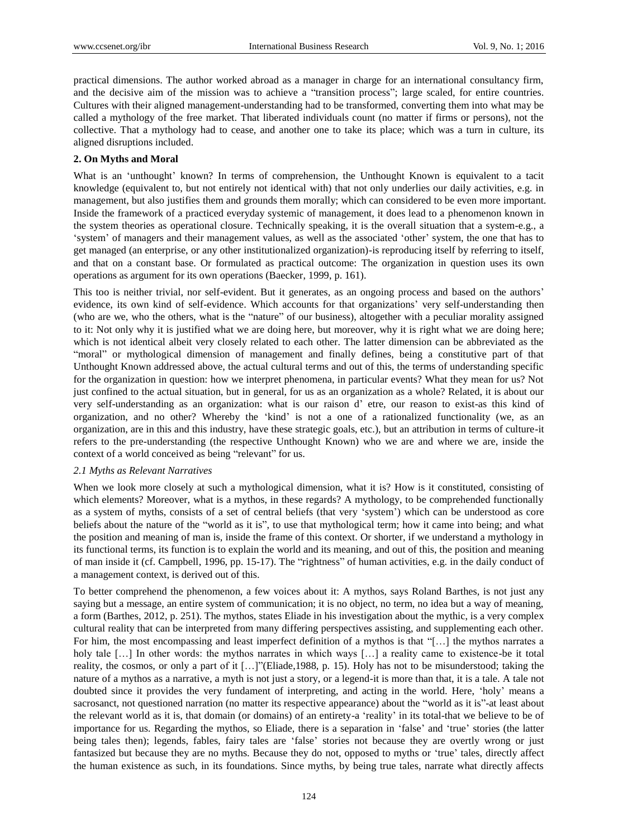practical dimensions. The author worked abroad as a manager in charge for an international consultancy firm, and the decisive aim of the mission was to achieve a "transition process"; large scaled, for entire countries. Cultures with their aligned management-understanding had to be transformed, converting them into what may be called a mythology of the free market. That liberated individuals count (no matter if firms or persons), not the collective. That a mythology had to cease, and another one to take its place; which was a turn in culture, its aligned disruptions included.

## **2. On Myths and Moral**

What is an 'unthought' known? In terms of comprehension, the Unthought Known is equivalent to a tacit knowledge (equivalent to, but not entirely not identical with) that not only underlies our daily activities, e.g. in management, but also justifies them and grounds them morally; which can considered to be even more important. Inside the framework of a practiced everyday systemic of management, it does lead to a phenomenon known in the system theories as operational closure. Technically speaking, it is the overall situation that a system-e.g., a 'system' of managers and their management values, as well as the associated 'other' system, the one that has to get managed (an enterprise, or any other institutionalized organization)-is reproducing itself by referring to itself, and that on a constant base. Or formulated as practical outcome: The organization in question uses its own operations as argument for its own operations (Baecker, 1999, p. 161).

This too is neither trivial, nor self-evident. But it generates, as an ongoing process and based on the authors' evidence, its own kind of self-evidence. Which accounts for that organizations' very self-understanding then (who are we, who the others, what is the "nature" of our business), altogether with a peculiar morality assigned to it: Not only why it is justified what we are doing here, but moreover, why it is right what we are doing here; which is not identical albeit very closely related to each other. The latter dimension can be abbreviated as the "moral" or mythological dimension of management and finally defines, being a constitutive part of that Unthought Known addressed above, the actual cultural terms and out of this, the terms of understanding specific for the organization in question: how we interpret phenomena, in particular events? What they mean for us? Not just confined to the actual situation, but in general, for us as an organization as a whole? Related, it is about our very self-understanding as an organization: what is our raison d' etre, our reason to exist-as this kind of organization, and no other? Whereby the 'kind' is not a one of a rationalized functionality (we, as an organization, are in this and this industry, have these strategic goals, etc.), but an attribution in terms of culture-it refers to the pre-understanding (the respective Unthought Known) who we are and where we are, inside the context of a world conceived as being "relevant" for us.

#### *2.1 Myths as Relevant Narratives*

When we look more closely at such a mythological dimension, what it is? How is it constituted, consisting of which elements? Moreover, what is a mythos, in these regards? A mythology, to be comprehended functionally as a system of myths, consists of a set of central beliefs (that very 'system') which can be understood as core beliefs about the nature of the "world as it is", to use that mythological term; how it came into being; and what the position and meaning of man is, inside the frame of this context. Or shorter, if we understand a mythology in its functional terms, its function is to explain the world and its meaning, and out of this, the position and meaning of man inside it (cf. Campbell, 1996, pp. 15-17). The "rightness" of human activities, e.g. in the daily conduct of a management context, is derived out of this.

To better comprehend the phenomenon, a few voices about it: A mythos, says Roland Barthes, is not just any saying but a message, an entire system of communication; it is no object, no term, no idea but a way of meaning, a form (Barthes, 2012, p. 251). The mythos, states Eliade in his investigation about the mythic, is a very complex cultural reality that can be interpreted from many differing perspectives assisting, and supplementing each other. For him, the most encompassing and least imperfect definition of a mythos is that "[…] the mythos narrates a holy tale [...] In other words: the mythos narrates in which ways [...] a reality came to existence-be it total reality, the cosmos, or only a part of it […]"(Eliade,1988, p. 15). Holy has not to be misunderstood; taking the nature of a mythos as a narrative, a myth is not just a story, or a legend-it is more than that, it is a tale. A tale not doubted since it provides the very fundament of interpreting, and acting in the world. Here, 'holy' means a sacrosanct, not questioned narration (no matter its respective appearance) about the "world as it is"-at least about the relevant world as it is, that domain (or domains) of an entirety-a 'reality' in its total-that we believe to be of importance for us. Regarding the mythos, so Eliade, there is a separation in 'false' and 'true' stories (the latter being tales then); legends, fables, fairy tales are 'false' stories not because they are overtly wrong or just fantasized but because they are no myths. Because they do not, opposed to myths or 'true' tales, directly affect the human existence as such, in its foundations. Since myths, by being true tales, narrate what directly affects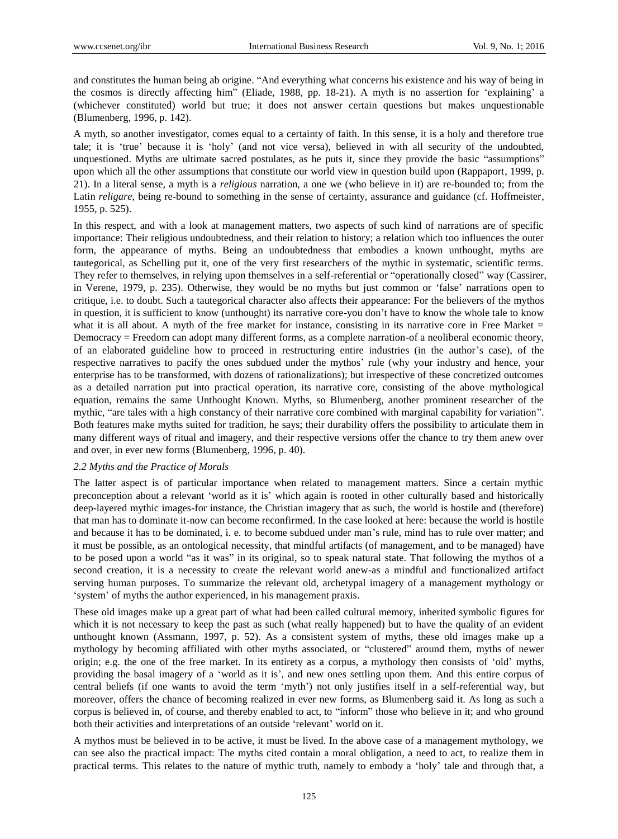and constitutes the human being ab origine. "And everything what concerns his existence and his way of being in the cosmos is directly affecting him" (Eliade, 1988, pp. 18-21). A myth is no assertion for 'explaining' a (whichever constituted) world but true; it does not answer certain questions but makes unquestionable (Blumenberg, 1996, p. 142).

A myth, so another investigator, comes equal to a certainty of faith. In this sense, it is a holy and therefore true tale; it is 'true' because it is 'holy' (and not vice versa), believed in with all security of the undoubted, unquestioned. Myths are ultimate sacred postulates, as he puts it, since they provide the basic "assumptions" upon which all the other assumptions that constitute our world view in question build upon (Rappaport, 1999, p. 21). In a literal sense, a myth is a *religious* narration, a one we (who believe in it) are re-bounded to; from the Latin *religare*, being re-bound to something in the sense of certainty, assurance and guidance (cf. Hoffmeister, 1955, p. 525).

In this respect, and with a look at management matters, two aspects of such kind of narrations are of specific importance: Their religious undoubtedness, and their relation to history; a relation which too influences the outer form, the appearance of myths. Being an undoubtedness that embodies a known unthought, myths are tautegorical, as Schelling put it, one of the very first researchers of the mythic in systematic, scientific terms. They refer to themselves, in relying upon themselves in a self-referential or "operationally closed" way (Cassirer, in Verene, 1979, p. 235). Otherwise, they would be no myths but just common or 'false' narrations open to critique, i.e. to doubt. Such a tautegorical character also affects their appearance: For the believers of the mythos in question, it is sufficient to know (unthought) its narrative core-you don't have to know the whole tale to know what it is all about. A myth of the free market for instance, consisting in its narrative core in Free Market  $=$ Democracy = Freedom can adopt many different forms, as a complete narration-of a neoliberal economic theory, of an elaborated guideline how to proceed in restructuring entire industries (in the author's case), of the respective narratives to pacify the ones subdued under the mythos' rule (why your industry and hence, your enterprise has to be transformed, with dozens of rationalizations); but irrespective of these concretized outcomes as a detailed narration put into practical operation, its narrative core, consisting of the above mythological equation, remains the same Unthought Known. Myths, so Blumenberg, another prominent researcher of the mythic, "are tales with a high constancy of their narrative core combined with marginal capability for variation". Both features make myths suited for tradition, he says; their durability offers the possibility to articulate them in many different ways of ritual and imagery, and their respective versions offer the chance to try them anew over and over, in ever new forms (Blumenberg, 1996, p. 40).

#### *2.2 Myths and the Practice of Morals*

The latter aspect is of particular importance when related to management matters. Since a certain mythic preconception about a relevant 'world as it is' which again is rooted in other culturally based and historically deep-layered mythic images-for instance, the Christian imagery that as such, the world is hostile and (therefore) that man has to dominate it-now can become reconfirmed. In the case looked at here: because the world is hostile and because it has to be dominated, i. e. to become subdued under man's rule, mind has to rule over matter; and it must be possible, as an ontological necessity, that mindful artifacts (of management, and to be managed) have to be posed upon a world "as it was" in its original, so to speak natural state. That following the mythos of a second creation, it is a necessity to create the relevant world anew-as a mindful and functionalized artifact serving human purposes. To summarize the relevant old, archetypal imagery of a management mythology or 'system' of myths the author experienced, in his management praxis.

These old images make up a great part of what had been called cultural memory, inherited symbolic figures for which it is not necessary to keep the past as such (what really happened) but to have the quality of an evident unthought known (Assmann, 1997, p. 52). As a consistent system of myths, these old images make up a mythology by becoming affiliated with other myths associated, or "clustered" around them, myths of newer origin; e.g. the one of the free market. In its entirety as a corpus, a mythology then consists of 'old' myths, providing the basal imagery of a 'world as it is', and new ones settling upon them. And this entire corpus of central beliefs (if one wants to avoid the term 'myth') not only justifies itself in a self-referential way, but moreover, offers the chance of becoming realized in ever new forms, as Blumenberg said it. As long as such a corpus is believed in, of course, and thereby enabled to act, to "inform" those who believe in it; and who ground both their activities and interpretations of an outside 'relevant' world on it.

A mythos must be believed in to be active, it must be lived. In the above case of a management mythology, we can see also the practical impact: The myths cited contain a moral obligation, a need to act, to realize them in practical terms. This relates to the nature of mythic truth, namely to embody a 'holy' tale and through that, a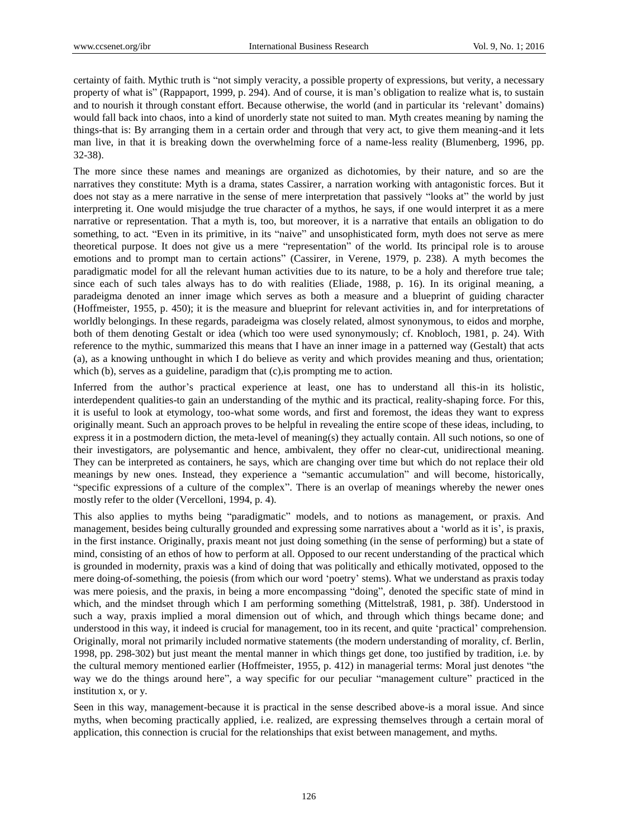certainty of faith. Mythic truth is "not simply veracity, a possible property of expressions, but verity, a necessary property of what is" (Rappaport, 1999, p. 294). And of course, it is man's obligation to realize what is, to sustain and to nourish it through constant effort. Because otherwise, the world (and in particular its 'relevant' domains) would fall back into chaos, into a kind of unorderly state not suited to man. Myth creates meaning by naming the things-that is: By arranging them in a certain order and through that very act, to give them meaning-and it lets man live, in that it is breaking down the overwhelming force of a name-less reality (Blumenberg, 1996, pp. 32-38).

The more since these names and meanings are organized as dichotomies, by their nature, and so are the narratives they constitute: Myth is a drama, states Cassirer, a narration working with antagonistic forces. But it does not stay as a mere narrative in the sense of mere interpretation that passively "looks at" the world by just interpreting it. One would misjudge the true character of a mythos, he says, if one would interpret it as a mere narrative or representation. That a myth is, too, but moreover, it is a narrative that entails an obligation to do something, to act. "Even in its primitive, in its "naive" and unsophisticated form, myth does not serve as mere theoretical purpose. It does not give us a mere "representation" of the world. Its principal role is to arouse emotions and to prompt man to certain actions" (Cassirer, in Verene, 1979, p. 238). A myth becomes the paradigmatic model for all the relevant human activities due to its nature, to be a holy and therefore true tale; since each of such tales always has to do with realities (Eliade, 1988, p. 16). In its original meaning, a paradeigma denoted an inner image which serves as both a measure and a blueprint of guiding character (Hoffmeister, 1955, p. 450); it is the measure and blueprint for relevant activities in, and for interpretations of worldly belongings. In these regards, paradeigma was closely related, almost synonymous, to eidos and morphe, both of them denoting Gestalt or idea (which too were used synonymously; cf. Knobloch, 1981, p. 24). With reference to the mythic, summarized this means that I have an inner image in a patterned way (Gestalt) that acts (a), as a knowing unthought in which I do believe as verity and which provides meaning and thus, orientation; which (b), serves as a guideline, paradigm that (c), is prompting me to action.

Inferred from the author's practical experience at least, one has to understand all this-in its holistic, interdependent qualities-to gain an understanding of the mythic and its practical, reality-shaping force. For this, it is useful to look at etymology, too-what some words, and first and foremost, the ideas they want to express originally meant. Such an approach proves to be helpful in revealing the entire scope of these ideas, including, to express it in a postmodern diction, the meta-level of meaning(s) they actually contain. All such notions, so one of their investigators, are polysemantic and hence, ambivalent, they offer no clear-cut, unidirectional meaning. They can be interpreted as containers, he says, which are changing over time but which do not replace their old meanings by new ones. Instead, they experience a "semantic accumulation" and will become, historically, "specific expressions of a culture of the complex". There is an overlap of meanings whereby the newer ones mostly refer to the older (Vercelloni, 1994, p. 4).

This also applies to myths being "paradigmatic" models, and to notions as management, or praxis. And management, besides being culturally grounded and expressing some narratives about a 'world as it is', is praxis, in the first instance. Originally, praxis meant not just doing something (in the sense of performing) but a state of mind, consisting of an ethos of how to perform at all. Opposed to our recent understanding of the practical which is grounded in modernity, praxis was a kind of doing that was politically and ethically motivated, opposed to the mere doing-of-something, the poiesis (from which our word 'poetry' stems). What we understand as praxis today was mere poiesis, and the praxis, in being a more encompassing "doing", denoted the specific state of mind in which, and the mindset through which I am performing something (Mittelstraß, 1981, p. 38f). Understood in such a way, praxis implied a moral dimension out of which, and through which things became done; and understood in this way, it indeed is crucial for management, too in its recent, and quite 'practical' comprehension. Originally, moral not primarily included normative statements (the modern understanding of morality, cf. Berlin, 1998, pp. 298-302) but just meant the mental manner in which things get done, too justified by tradition, i.e. by the cultural memory mentioned earlier (Hoffmeister, 1955, p. 412) in managerial terms: Moral just denotes "the way we do the things around here", a way specific for our peculiar "management culture" practiced in the institution x, or y.

Seen in this way, management-because it is practical in the sense described above-is a moral issue. And since myths, when becoming practically applied, i.e. realized, are expressing themselves through a certain moral of application, this connection is crucial for the relationships that exist between management, and myths.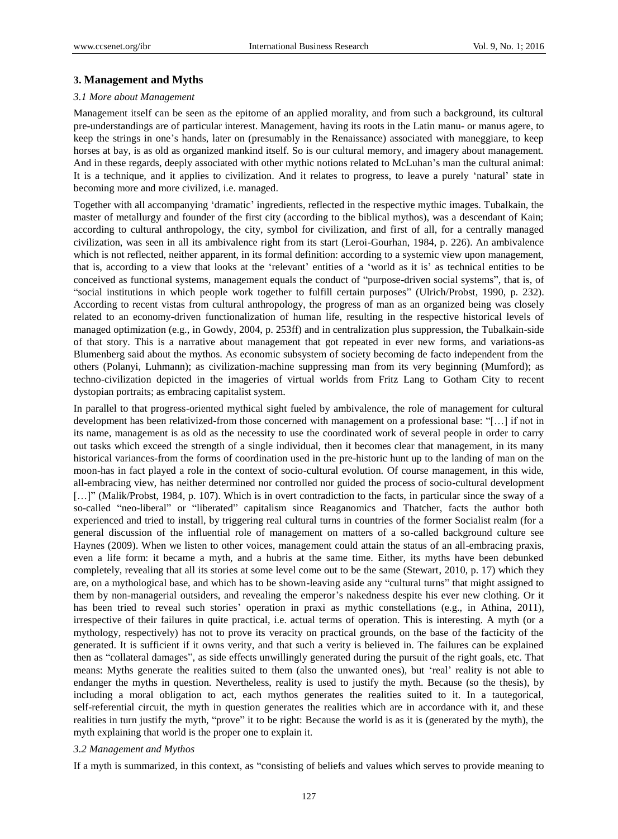## **3. Management and Myths**

#### *3.1 More about Management*

Management itself can be seen as the epitome of an applied morality, and from such a background, its cultural pre-understandings are of particular interest. Management, having its roots in the Latin manu- or manus agere, to keep the strings in one's hands, later on (presumably in the Renaissance) associated with maneggiare, to keep horses at bay, is as old as organized mankind itself. So is our cultural memory, and imagery about management. And in these regards, deeply associated with other mythic notions related to McLuhan's man the cultural animal: It is a technique, and it applies to civilization. And it relates to progress, to leave a purely 'natural' state in becoming more and more civilized, i.e. managed.

Together with all accompanying 'dramatic' ingredients, reflected in the respective mythic images. Tubalkain, the master of metallurgy and founder of the first city (according to the biblical mythos), was a descendant of Kain; according to cultural anthropology, the city, symbol for civilization, and first of all, for a centrally managed civilization, was seen in all its ambivalence right from its start (Leroi-Gourhan, 1984, p. 226). An ambivalence which is not reflected, neither apparent, in its formal definition: according to a systemic view upon management, that is, according to a view that looks at the 'relevant' entities of a 'world as it is' as technical entities to be conceived as functional systems, management equals the conduct of "purpose-driven social systems", that is, of "social institutions in which people work together to fulfill certain purposes" (Ulrich/Probst, 1990, p. 232). According to recent vistas from cultural anthropology, the progress of man as an organized being was closely related to an economy-driven functionalization of human life, resulting in the respective historical levels of managed optimization (e.g., in Gowdy, 2004, p. 253ff) and in centralization plus suppression, the Tubalkain-side of that story. This is a narrative about management that got repeated in ever new forms, and variations-as Blumenberg said about the mythos. As economic subsystem of society becoming de facto independent from the others (Polanyi, Luhmann); as civilization-machine suppressing man from its very beginning (Mumford); as techno-civilization depicted in the imageries of virtual worlds from Fritz Lang to Gotham City to recent dystopian portraits; as embracing capitalist system.

In parallel to that progress-oriented mythical sight fueled by ambivalence, the role of management for cultural development has been relativized-from those concerned with management on a professional base: "[…] if not in its name, management is as old as the necessity to use the coordinated work of several people in order to carry out tasks which exceed the strength of a single individual, then it becomes clear that management, in its many historical variances-from the forms of coordination used in the pre-historic hunt up to the landing of man on the moon-has in fact played a role in the context of socio-cultural evolution. Of course management, in this wide, all-embracing view, has neither determined nor controlled nor guided the process of socio-cultural development [...]" (Malik/Probst, 1984, p. 107). Which is in overt contradiction to the facts, in particular since the sway of a so-called "neo-liberal" or "liberated" capitalism since Reaganomics and Thatcher, facts the author both experienced and tried to install, by triggering real cultural turns in countries of the former Socialist realm (for a general discussion of the influential role of management on matters of a so-called background culture see Haynes (2009). When we listen to other voices, management could attain the status of an all-embracing praxis, even a life form: it became a myth, and a hubris at the same time. Either, its myths have been debunked completely, revealing that all its stories at some level come out to be the same (Stewart, 2010, p. 17) which they are, on a mythological base, and which has to be shown-leaving aside any "cultural turns" that might assigned to them by non-managerial outsiders, and revealing the emperor's nakedness despite his ever new clothing. Or it has been tried to reveal such stories' operation in praxi as mythic constellations (e.g., in Athina, 2011), irrespective of their failures in quite practical, i.e. actual terms of operation. This is interesting. A myth (or a mythology, respectively) has not to prove its veracity on practical grounds, on the base of the facticity of the generated. It is sufficient if it owns verity, and that such a verity is believed in. The failures can be explained then as "collateral damages", as side effects unwillingly generated during the pursuit of the right goals, etc. That means: Myths generate the realities suited to them (also the unwanted ones), but 'real' reality is not able to endanger the myths in question. Nevertheless, reality is used to justify the myth. Because (so the thesis), by including a moral obligation to act, each mythos generates the realities suited to it. In a tautegorical, self-referential circuit, the myth in question generates the realities which are in accordance with it, and these realities in turn justify the myth, "prove" it to be right: Because the world is as it is (generated by the myth), the myth explaining that world is the proper one to explain it.

#### *3.2 Management and Mythos*

If a myth is summarized, in this context, as "consisting of beliefs and values which serves to provide meaning to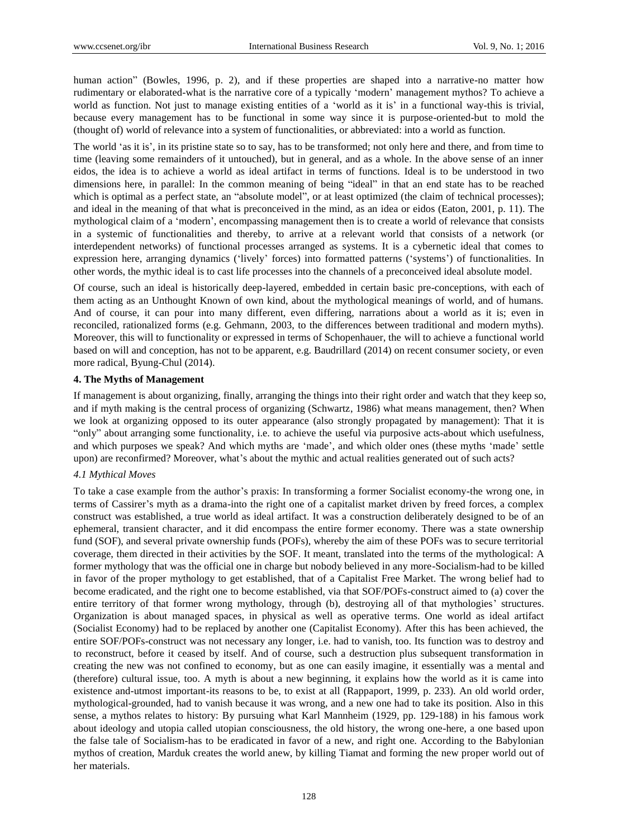human action" (Bowles, 1996, p. 2), and if these properties are shaped into a narrative-no matter how rudimentary or elaborated-what is the narrative core of a typically 'modern' management mythos? To achieve a world as function. Not just to manage existing entities of a 'world as it is' in a functional way-this is trivial, because every management has to be functional in some way since it is purpose-oriented-but to mold the (thought of) world of relevance into a system of functionalities, or abbreviated: into a world as function.

The world 'as it is', in its pristine state so to say, has to be transformed; not only here and there, and from time to time (leaving some remainders of it untouched), but in general, and as a whole. In the above sense of an inner eidos, the idea is to achieve a world as ideal artifact in terms of functions. Ideal is to be understood in two dimensions here, in parallel: In the common meaning of being "ideal" in that an end state has to be reached which is optimal as a perfect state, an "absolute model", or at least optimized (the claim of technical processes); and ideal in the meaning of that what is preconceived in the mind, as an idea or eidos (Eaton, 2001, p. 11). The mythological claim of a 'modern', encompassing management then is to create a world of relevance that consists in a systemic of functionalities and thereby, to arrive at a relevant world that consists of a network (or interdependent networks) of functional processes arranged as systems. It is a cybernetic ideal that comes to expression here, arranging dynamics ('lively' forces) into formatted patterns ('systems') of functionalities. In other words, the mythic ideal is to cast life processes into the channels of a preconceived ideal absolute model.

Of course, such an ideal is historically deep-layered, embedded in certain basic pre-conceptions, with each of them acting as an Unthought Known of own kind, about the mythological meanings of world, and of humans. And of course, it can pour into many different, even differing, narrations about a world as it is; even in reconciled, rationalized forms (e.g. Gehmann, 2003, to the differences between traditional and modern myths). Moreover, this will to functionality or expressed in terms of Schopenhauer, the will to achieve a functional world based on will and conception, has not to be apparent, e.g. Baudrillard (2014) on recent consumer society, or even more radical, Byung-Chul (2014).

# **4. The Myths of Management**

If management is about organizing, finally, arranging the things into their right order and watch that they keep so, and if myth making is the central process of organizing (Schwartz, 1986) what means management, then? When we look at organizing opposed to its outer appearance (also strongly propagated by management): That it is "only" about arranging some functionality, i.e. to achieve the useful via purposive acts-about which usefulness, and which purposes we speak? And which myths are 'made', and which older ones (these myths 'made' settle upon) are reconfirmed? Moreover, what's about the mythic and actual realities generated out of such acts?

## *4.1 Mythical Moves*

To take a case example from the author's praxis: In transforming a former Socialist economy-the wrong one, in terms of Cassirer's myth as a drama-into the right one of a capitalist market driven by freed forces, a complex construct was established, a true world as ideal artifact. It was a construction deliberately designed to be of an ephemeral, transient character, and it did encompass the entire former economy. There was a state ownership fund (SOF), and several private ownership funds (POFs), whereby the aim of these POFs was to secure territorial coverage, them directed in their activities by the SOF. It meant, translated into the terms of the mythological: A former mythology that was the official one in charge but nobody believed in any more-Socialism-had to be killed in favor of the proper mythology to get established, that of a Capitalist Free Market. The wrong belief had to become eradicated, and the right one to become established, via that SOF/POFs-construct aimed to (a) cover the entire territory of that former wrong mythology, through (b), destroying all of that mythologies' structures. Organization is about managed spaces, in physical as well as operative terms. One world as ideal artifact (Socialist Economy) had to be replaced by another one (Capitalist Economy). After this has been achieved, the entire SOF/POFs-construct was not necessary any longer, i.e. had to vanish, too. Its function was to destroy and to reconstruct, before it ceased by itself. And of course, such a destruction plus subsequent transformation in creating the new was not confined to economy, but as one can easily imagine, it essentially was a mental and (therefore) cultural issue, too. A myth is about a new beginning, it explains how the world as it is came into existence and-utmost important-its reasons to be, to exist at all (Rappaport, 1999, p. 233). An old world order, mythological-grounded, had to vanish because it was wrong, and a new one had to take its position. Also in this sense, a mythos relates to history: By pursuing what Karl Mannheim (1929, pp. 129-188) in his famous work about ideology and utopia called utopian consciousness, the old history, the wrong one-here, a one based upon the false tale of Socialism-has to be eradicated in favor of a new, and right one. According to the Babylonian mythos of creation, Marduk creates the world anew, by killing Tiamat and forming the new proper world out of her materials.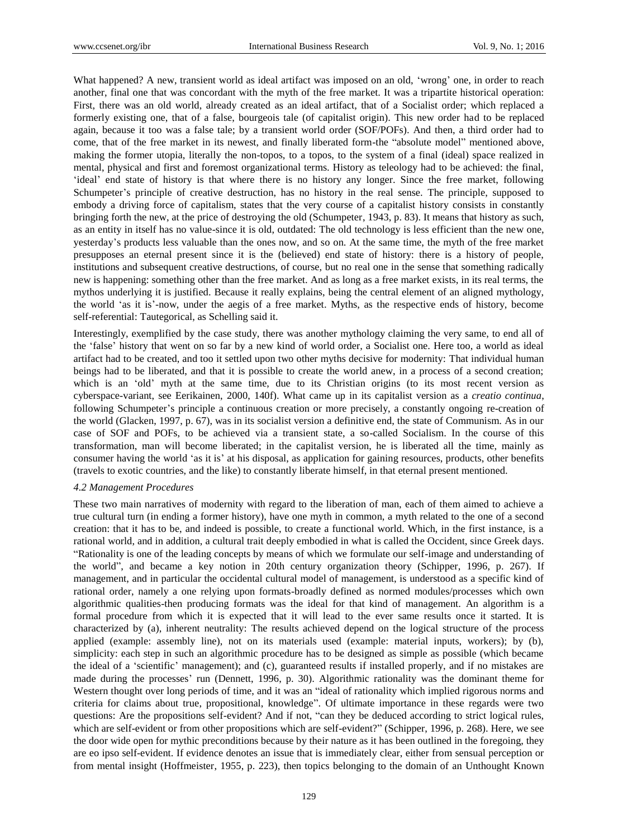What happened? A new, transient world as ideal artifact was imposed on an old, 'wrong' one, in order to reach another, final one that was concordant with the myth of the free market. It was a tripartite historical operation: First, there was an old world, already created as an ideal artifact, that of a Socialist order; which replaced a formerly existing one, that of a false, bourgeois tale (of capitalist origin). This new order had to be replaced again, because it too was a false tale; by a transient world order (SOF/POFs). And then, a third order had to come, that of the free market in its newest, and finally liberated form-the "absolute model" mentioned above, making the former utopia, literally the non-topos, to a topos, to the system of a final (ideal) space realized in mental, physical and first and foremost organizational terms. History as teleology had to be achieved: the final, 'ideal' end state of history is that where there is no history any longer. Since the free market, following Schumpeter's principle of creative destruction, has no history in the real sense. The principle, supposed to embody a driving force of capitalism, states that the very course of a capitalist history consists in constantly bringing forth the new, at the price of destroying the old (Schumpeter, 1943, p. 83). It means that history as such, as an entity in itself has no value-since it is old, outdated: The old technology is less efficient than the new one, yesterday's products less valuable than the ones now, and so on. At the same time, the myth of the free market presupposes an eternal present since it is the (believed) end state of history: there is a history of people, institutions and subsequent creative destructions, of course, but no real one in the sense that something radically new is happening: something other than the free market. And as long as a free market exists, in its real terms, the mythos underlying it is justified. Because it really explains, being the central element of an aligned mythology, the world 'as it is'-now, under the aegis of a free market. Myths, as the respective ends of history, become self-referential: Tautegorical, as Schelling said it.

Interestingly, exemplified by the case study, there was another mythology claiming the very same, to end all of the 'false' history that went on so far by a new kind of world order, a Socialist one. Here too, a world as ideal artifact had to be created, and too it settled upon two other myths decisive for modernity: That individual human beings had to be liberated, and that it is possible to create the world anew, in a process of a second creation; which is an 'old' myth at the same time, due to its Christian origins (to its most recent version as cyberspace-variant, see Eerikainen, 2000, 140f). What came up in its capitalist version as a *creatio continua*, following Schumpeter's principle a continuous creation or more precisely, a constantly ongoing re-creation of the world (Glacken, 1997, p. 67), was in its socialist version a definitive end, the state of Communism. As in our case of SOF and POFs, to be achieved via a transient state, a so-called Socialism. In the course of this transformation, man will become liberated; in the capitalist version, he is liberated all the time, mainly as consumer having the world 'as it is' at his disposal, as application for gaining resources, products, other benefits (travels to exotic countries, and the like) to constantly liberate himself, in that eternal present mentioned.

#### *4.2 Management Procedures*

These two main narratives of modernity with regard to the liberation of man, each of them aimed to achieve a true cultural turn (in ending a former history), have one myth in common, a myth related to the one of a second creation: that it has to be, and indeed is possible, to create a functional world. Which, in the first instance, is a rational world, and in addition, a cultural trait deeply embodied in what is called the Occident, since Greek days. "Rationality is one of the leading concepts by means of which we formulate our self-image and understanding of the world", and became a key notion in 20th century organization theory (Schipper, 1996, p. 267). If management, and in particular the occidental cultural model of management, is understood as a specific kind of rational order, namely a one relying upon formats-broadly defined as normed modules/processes which own algorithmic qualities-then producing formats was the ideal for that kind of management. An algorithm is a formal procedure from which it is expected that it will lead to the ever same results once it started. It is characterized by (a), inherent neutrality: The results achieved depend on the logical structure of the process applied (example: assembly line), not on its materials used (example: material inputs, workers); by (b), simplicity: each step in such an algorithmic procedure has to be designed as simple as possible (which became the ideal of a 'scientific' management); and (c), guaranteed results if installed properly, and if no mistakes are made during the processes' run (Dennett, 1996, p. 30). Algorithmic rationality was the dominant theme for Western thought over long periods of time, and it was an "ideal of rationality which implied rigorous norms and criteria for claims about true, propositional, knowledge". Of ultimate importance in these regards were two questions: Are the propositions self-evident? And if not, "can they be deduced according to strict logical rules, which are self-evident or from other propositions which are self-evident?" (Schipper, 1996, p. 268). Here, we see the door wide open for mythic preconditions because by their nature as it has been outlined in the foregoing, they are eo ipso self-evident. If evidence denotes an issue that is immediately clear, either from sensual perception or from mental insight (Hoffmeister, 1955, p. 223), then topics belonging to the domain of an Unthought Known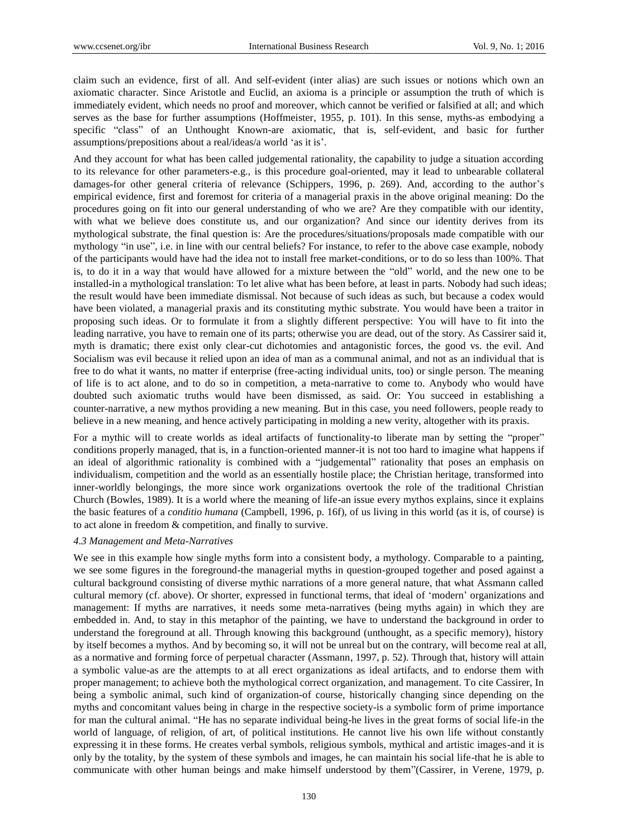claim such an evidence, first of all. And self-evident (inter alias) are such issues or notions which own an axiomatic character. Since Aristotle and Euclid, an axioma is a principle or assumption the truth of which is immediately evident, which needs no proof and moreover, which cannot be verified or falsified at all; and which serves as the base for further assumptions (Hoffmeister, 1955, p. 101). In this sense, myths-as embodying a specific "class" of an Unthought Known-are axiomatic, that is, self-evident, and basic for further assumptions/prepositions about a real/ideas/a world 'as it is'.

And they account for what has been called judgemental rationality, the capability to judge a situation according to its relevance for other parameters-e.g., is this procedure goal-oriented, may it lead to unbearable collateral damages-for other general criteria of relevance (Schippers, 1996, p. 269). And, according to the author's empirical evidence, first and foremost for criteria of a managerial praxis in the above original meaning: Do the procedures going on fit into our general understanding of who we are? Are they compatible with our identity, with what we believe does constitute us, and our organization? And since our identity derives from its mythological substrate, the final question is: Are the procedures/situations/proposals made compatible with our mythology "in use", i.e. in line with our central beliefs? For instance, to refer to the above case example, nobody of the participants would have had the idea not to install free market-conditions, or to do so less than 100%. That is, to do it in a way that would have allowed for a mixture between the "old" world, and the new one to be installed-in a mythological translation: To let alive what has been before, at least in parts. Nobody had such ideas; the result would have been immediate dismissal. Not because of such ideas as such, but because a codex would have been violated, a managerial praxis and its constituting mythic substrate. You would have been a traitor in proposing such ideas. Or to formulate it from a slightly different perspective: You will have to fit into the leading narrative, you have to remain one of its parts; otherwise you are dead, out of the story. As Cassirer said it, myth is dramatic; there exist only clear-cut dichotomies and antagonistic forces, the good vs. the evil. And Socialism was evil because it relied upon an idea of man as a communal animal, and not as an individual that is free to do what it wants, no matter if enterprise (free-acting individual units, too) or single person. The meaning of life is to act alone, and to do so in competition, a meta-narrative to come to. Anybody who would have doubted such axiomatic truths would have been dismissed, as said. Or: You succeed in establishing a counter-narrative, a new mythos providing a new meaning. But in this case, you need followers, people ready to believe in a new meaning, and hence actively participating in molding a new verity, altogether with its praxis.

For a mythic will to create worlds as ideal artifacts of functionality-to liberate man by setting the "proper" conditions properly managed, that is, in a function-oriented manner-it is not too hard to imagine what happens if an ideal of algorithmic rationality is combined with a "judgemental" rationality that poses an emphasis on individualism, competition and the world as an essentially hostile place; the Christian heritage, transformed into inner-worldly belongings, the more since work organizations overtook the role of the traditional Christian Church (Bowles, 1989). It is a world where the meaning of life-an issue every mythos explains, since it explains the basic features of a *conditio humana* (Campbell, 1996, p. 16f), of us living in this world (as it is, of course) is to act alone in freedom & competition, and finally to survive.

# *4.3 Management and Meta-Narratives*

We see in this example how single myths form into a consistent body, a mythology. Comparable to a painting, we see some figures in the foreground-the managerial myths in question-grouped together and posed against a cultural background consisting of diverse mythic narrations of a more general nature, that what Assmann called cultural memory (cf. above). Or shorter, expressed in functional terms, that ideal of 'modern' organizations and management: If myths are narratives, it needs some meta-narratives (being myths again) in which they are embedded in. And, to stay in this metaphor of the painting, we have to understand the background in order to understand the foreground at all. Through knowing this background (unthought, as a specific memory), history by itself becomes a mythos. And by becoming so, it will not be unreal but on the contrary, will become real at all, as a normative and forming force of perpetual character (Assmann, 1997, p. 52). Through that, history will attain a symbolic value-as are the attempts to at all erect organizations as ideal artifacts, and to endorse them with proper management; to achieve both the mythological correct organization, and management. To cite Cassirer, In being a symbolic animal, such kind of organization-of course, historically changing since depending on the myths and concomitant values being in charge in the respective society-is a symbolic form of prime importance for man the cultural animal. "He has no separate individual being-he lives in the great forms of social life-in the world of language, of religion, of art, of political institutions. He cannot live his own life without constantly expressing it in these forms. He creates verbal symbols, religious symbols, mythical and artistic images-and it is only by the totality, by the system of these symbols and images, he can maintain his social life-that he is able to communicate with other human beings and make himself understood by them"(Cassirer, in Verene, 1979, p.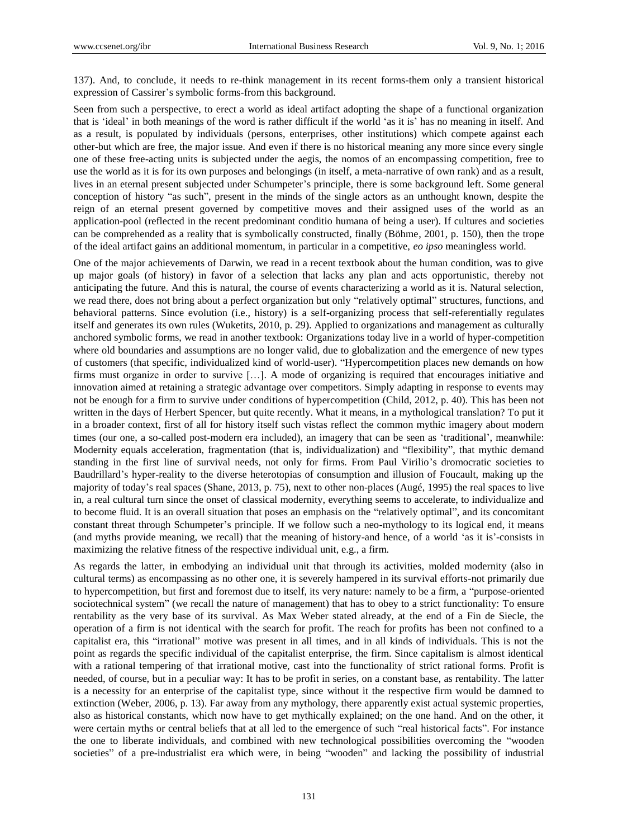137). And, to conclude, it needs to re-think management in its recent forms-them only a transient historical expression of Cassirer's symbolic forms-from this background.

Seen from such a perspective, to erect a world as ideal artifact adopting the shape of a functional organization that is 'ideal' in both meanings of the word is rather difficult if the world 'as it is' has no meaning in itself. And as a result, is populated by individuals (persons, enterprises, other institutions) which compete against each other-but which are free, the major issue. And even if there is no historical meaning any more since every single one of these free-acting units is subjected under the aegis, the nomos of an encompassing competition, free to use the world as it is for its own purposes and belongings (in itself, a meta-narrative of own rank) and as a result, lives in an eternal present subjected under Schumpeter's principle, there is some background left. Some general conception of history "as such", present in the minds of the single actors as an unthought known, despite the reign of an eternal present governed by competitive moves and their assigned uses of the world as an application-pool (reflected in the recent predominant conditio humana of being a user). If cultures and societies can be comprehended as a reality that is symbolically constructed, finally (Böhme, 2001, p. 150), then the trope of the ideal artifact gains an additional momentum, in particular in a competitive, *eo ipso* meaningless world.

One of the major achievements of Darwin, we read in a recent textbook about the human condition, was to give up major goals (of history) in favor of a selection that lacks any plan and acts opportunistic, thereby not anticipating the future. And this is natural, the course of events characterizing a world as it is. Natural selection, we read there, does not bring about a perfect organization but only "relatively optimal" structures, functions, and behavioral patterns. Since evolution (i.e., history) is a self-organizing process that self-referentially regulates itself and generates its own rules (Wuketits, 2010, p. 29). Applied to organizations and management as culturally anchored symbolic forms, we read in another textbook: Organizations today live in a world of hyper-competition where old boundaries and assumptions are no longer valid, due to globalization and the emergence of new types of customers (that specific, individualized kind of world-user). "Hypercompetition places new demands on how firms must organize in order to survive […]. A mode of organizing is required that encourages initiative and innovation aimed at retaining a strategic advantage over competitors. Simply adapting in response to events may not be enough for a firm to survive under conditions of hypercompetition (Child, 2012, p. 40). This has been not written in the days of Herbert Spencer, but quite recently. What it means, in a mythological translation? To put it in a broader context, first of all for history itself such vistas reflect the common mythic imagery about modern times (our one, a so-called post-modern era included), an imagery that can be seen as 'traditional', meanwhile: Modernity equals acceleration, fragmentation (that is, individualization) and "flexibility", that mythic demand standing in the first line of survival needs, not only for firms. From Paul Virilio's dromocratic societies to Baudrillard's hyper-reality to the diverse heterotopias of consumption and illusion of Foucault, making up the majority of today's real spaces (Shane, 2013, p. 75), next to other non-places (Augé, 1995) the real spaces to live in, a real cultural turn since the onset of classical modernity, everything seems to accelerate, to individualize and to become fluid. It is an overall situation that poses an emphasis on the "relatively optimal", and its concomitant constant threat through Schumpeter's principle. If we follow such a neo-mythology to its logical end, it means (and myths provide meaning, we recall) that the meaning of history-and hence, of a world 'as it is'-consists in maximizing the relative fitness of the respective individual unit, e.g., a firm.

As regards the latter, in embodying an individual unit that through its activities, molded modernity (also in cultural terms) as encompassing as no other one, it is severely hampered in its survival efforts-not primarily due to hypercompetition, but first and foremost due to itself, its very nature: namely to be a firm, a "purpose-oriented sociotechnical system" (we recall the nature of management) that has to obey to a strict functionality: To ensure rentability as the very base of its survival. As Max Weber stated already, at the end of a Fin de Siecle, the operation of a firm is not identical with the search for profit. The reach for profits has been not confined to a capitalist era, this "irrational" motive was present in all times, and in all kinds of individuals. This is not the point as regards the specific individual of the capitalist enterprise, the firm. Since capitalism is almost identical with a rational tempering of that irrational motive, cast into the functionality of strict rational forms. Profit is needed, of course, but in a peculiar way: It has to be profit in series, on a constant base, as rentability. The latter is a necessity for an enterprise of the capitalist type, since without it the respective firm would be damned to extinction (Weber, 2006, p. 13). Far away from any mythology, there apparently exist actual systemic properties, also as historical constants, which now have to get mythically explained; on the one hand. And on the other, it were certain myths or central beliefs that at all led to the emergence of such "real historical facts". For instance the one to liberate individuals, and combined with new technological possibilities overcoming the "wooden societies" of a pre-industrialist era which were, in being "wooden" and lacking the possibility of industrial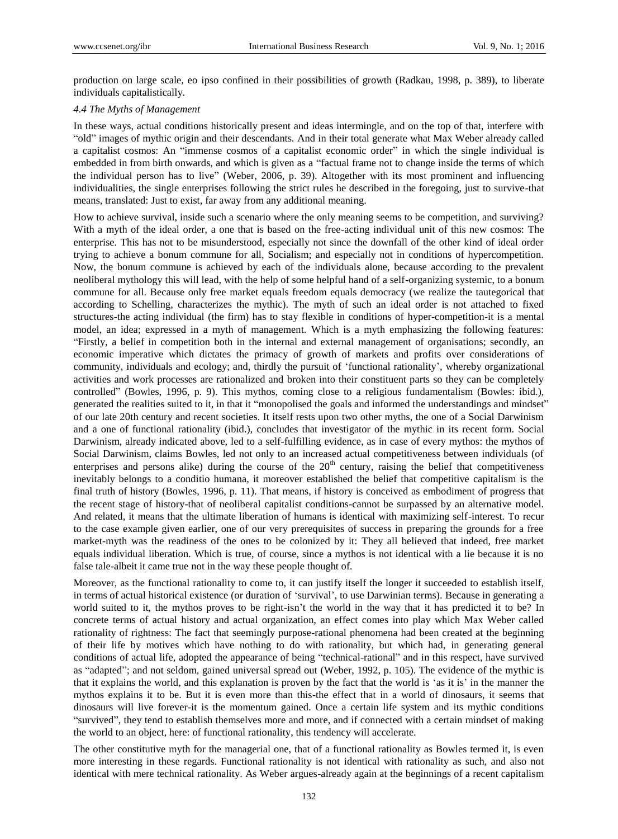production on large scale, eo ipso confined in their possibilities of growth (Radkau, 1998, p. 389), to liberate individuals capitalistically.

#### *4.4 The Myths of Management*

In these ways, actual conditions historically present and ideas intermingle, and on the top of that, interfere with "old" images of mythic origin and their descendants. And in their total generate what Max Weber already called a capitalist cosmos: An "immense cosmos of a capitalist economic order" in which the single individual is embedded in from birth onwards, and which is given as a "factual frame not to change inside the terms of which the individual person has to live" (Weber, 2006, p. 39). Altogether with its most prominent and influencing individualities, the single enterprises following the strict rules he described in the foregoing, just to survive-that means, translated: Just to exist, far away from any additional meaning.

How to achieve survival, inside such a scenario where the only meaning seems to be competition, and surviving? With a myth of the ideal order, a one that is based on the free-acting individual unit of this new cosmos: The enterprise. This has not to be misunderstood, especially not since the downfall of the other kind of ideal order trying to achieve a bonum commune for all, Socialism; and especially not in conditions of hypercompetition. Now, the bonum commune is achieved by each of the individuals alone, because according to the prevalent neoliberal mythology this will lead, with the help of some helpful hand of a self-organizing systemic, to a bonum commune for all. Because only free market equals freedom equals democracy (we realize the tautegorical that according to Schelling, characterizes the mythic). The myth of such an ideal order is not attached to fixed structures-the acting individual (the firm) has to stay flexible in conditions of hyper-competition-it is a mental model, an idea; expressed in a myth of management. Which is a myth emphasizing the following features: "Firstly, a belief in competition both in the internal and external management of organisations; secondly, an economic imperative which dictates the primacy of growth of markets and profits over considerations of community, individuals and ecology; and, thirdly the pursuit of 'functional rationality', whereby organizational activities and work processes are rationalized and broken into their constituent parts so they can be completely controlled" (Bowles, 1996, p. 9). This mythos, coming close to a religious fundamentalism (Bowles: ibid.), generated the realities suited to it, in that it "monopolised the goals and informed the understandings and mindset" of our late 20th century and recent societies. It itself rests upon two other myths, the one of a Social Darwinism and a one of functional rationality (ibid.), concludes that investigator of the mythic in its recent form. Social Darwinism, already indicated above, led to a self-fulfilling evidence, as in case of every mythos: the mythos of Social Darwinism, claims Bowles, led not only to an increased actual competitiveness between individuals (of enterprises and persons alike) during the course of the  $20<sup>th</sup>$  century, raising the belief that competitiveness inevitably belongs to a conditio humana, it moreover established the belief that competitive capitalism is the final truth of history (Bowles, 1996, p. 11). That means, if history is conceived as embodiment of progress that the recent stage of history-that of neoliberal capitalist conditions-cannot be surpassed by an alternative model. And related, it means that the ultimate liberation of humans is identical with maximizing self-interest. To recur to the case example given earlier, one of our very prerequisites of success in preparing the grounds for a free market-myth was the readiness of the ones to be colonized by it: They all believed that indeed, free market equals individual liberation. Which is true, of course, since a mythos is not identical with a lie because it is no false tale-albeit it came true not in the way these people thought of.

Moreover, as the functional rationality to come to, it can justify itself the longer it succeeded to establish itself, in terms of actual historical existence (or duration of 'survival', to use Darwinian terms). Because in generating a world suited to it, the mythos proves to be right-isn't the world in the way that it has predicted it to be? In concrete terms of actual history and actual organization, an effect comes into play which Max Weber called rationality of rightness: The fact that seemingly purpose-rational phenomena had been created at the beginning of their life by motives which have nothing to do with rationality, but which had, in generating general conditions of actual life, adopted the appearance of being "technical-rational" and in this respect, have survived as "adapted"; and not seldom, gained universal spread out (Weber, 1992, p. 105). The evidence of the mythic is that it explains the world, and this explanation is proven by the fact that the world is 'as it is' in the manner the mythos explains it to be. But it is even more than this-the effect that in a world of dinosaurs, it seems that dinosaurs will live forever-it is the momentum gained. Once a certain life system and its mythic conditions "survived", they tend to establish themselves more and more, and if connected with a certain mindset of making the world to an object, here: of functional rationality, this tendency will accelerate.

The other constitutive myth for the managerial one, that of a functional rationality as Bowles termed it, is even more interesting in these regards. Functional rationality is not identical with rationality as such, and also not identical with mere technical rationality. As Weber argues-already again at the beginnings of a recent capitalism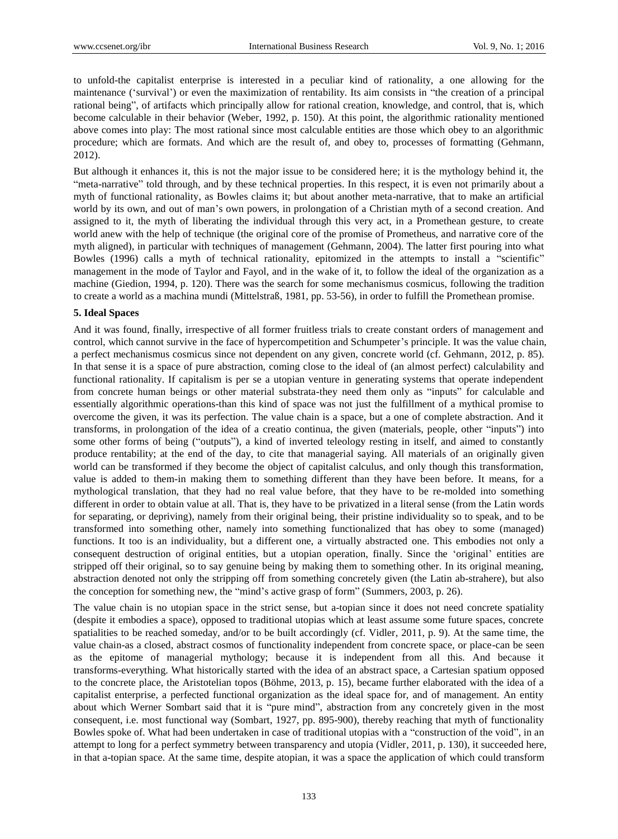to unfold-the capitalist enterprise is interested in a peculiar kind of rationality, a one allowing for the maintenance ('survival') or even the maximization of rentability. Its aim consists in "the creation of a principal rational being", of artifacts which principally allow for rational creation, knowledge, and control, that is, which become calculable in their behavior (Weber, 1992, p. 150). At this point, the algorithmic rationality mentioned above comes into play: The most rational since most calculable entities are those which obey to an algorithmic procedure; which are formats. And which are the result of, and obey to, processes of formatting (Gehmann, 2012).

But although it enhances it, this is not the major issue to be considered here; it is the mythology behind it, the "meta-narrative" told through, and by these technical properties. In this respect, it is even not primarily about a myth of functional rationality, as Bowles claims it; but about another meta-narrative, that to make an artificial world by its own, and out of man's own powers, in prolongation of a Christian myth of a second creation. And assigned to it, the myth of liberating the individual through this very act, in a Promethean gesture, to create world anew with the help of technique (the original core of the promise of Prometheus, and narrative core of the myth aligned), in particular with techniques of management (Gehmann, 2004). The latter first pouring into what Bowles (1996) calls a myth of technical rationality, epitomized in the attempts to install a "scientific" management in the mode of Taylor and Fayol, and in the wake of it, to follow the ideal of the organization as a machine (Giedion, 1994, p. 120). There was the search for some mechanismus cosmicus, following the tradition to create a world as a machina mundi (Mittelstraß, 1981, pp. 53-56), in order to fulfill the Promethean promise.

#### **5. Ideal Spaces**

And it was found, finally, irrespective of all former fruitless trials to create constant orders of management and control, which cannot survive in the face of hypercompetition and Schumpeter's principle. It was the value chain, a perfect mechanismus cosmicus since not dependent on any given, concrete world (cf. Gehmann, 2012, p. 85). In that sense it is a space of pure abstraction, coming close to the ideal of (an almost perfect) calculability and functional rationality. If capitalism is per se a utopian venture in generating systems that operate independent from concrete human beings or other material substrata-they need them only as "inputs" for calculable and essentially algorithmic operations-than this kind of space was not just the fulfillment of a mythical promise to overcome the given, it was its perfection. The value chain is a space, but a one of complete abstraction. And it transforms, in prolongation of the idea of a creatio continua, the given (materials, people, other "inputs") into some other forms of being ("outputs"), a kind of inverted teleology resting in itself, and aimed to constantly produce rentability; at the end of the day, to cite that managerial saying. All materials of an originally given world can be transformed if they become the object of capitalist calculus, and only though this transformation, value is added to them-in making them to something different than they have been before. It means, for a mythological translation, that they had no real value before, that they have to be re-molded into something different in order to obtain value at all. That is, they have to be privatized in a literal sense (from the Latin words for separating, or depriving), namely from their original being, their pristine individuality so to speak, and to be transformed into something other, namely into something functionalized that has obey to some (managed) functions. It too is an individuality, but a different one, a virtually abstracted one. This embodies not only a consequent destruction of original entities, but a utopian operation, finally. Since the 'original' entities are stripped off their original, so to say genuine being by making them to something other. In its original meaning, abstraction denoted not only the stripping off from something concretely given (the Latin ab-strahere), but also the conception for something new, the "mind's active grasp of form" (Summers, 2003, p. 26).

The value chain is no utopian space in the strict sense, but a-topian since it does not need concrete spatiality (despite it embodies a space), opposed to traditional utopias which at least assume some future spaces, concrete spatialities to be reached someday, and/or to be built accordingly (cf. Vidler, 2011, p. 9). At the same time, the value chain-as a closed, abstract cosmos of functionality independent from concrete space, or place-can be seen as the epitome of managerial mythology; because it is independent from all this. And because it transforms-everything. What historically started with the idea of an abstract space, a Cartesian spatium opposed to the concrete place, the Aristotelian topos (Böhme, 2013, p. 15), became further elaborated with the idea of a capitalist enterprise, a perfected functional organization as the ideal space for, and of management. An entity about which Werner Sombart said that it is "pure mind", abstraction from any concretely given in the most consequent, i.e. most functional way (Sombart, 1927, pp. 895-900), thereby reaching that myth of functionality Bowles spoke of. What had been undertaken in case of traditional utopias with a "construction of the void", in an attempt to long for a perfect symmetry between transparency and utopia (Vidler, 2011, p. 130), it succeeded here, in that a-topian space. At the same time, despite atopian, it was a space the application of which could transform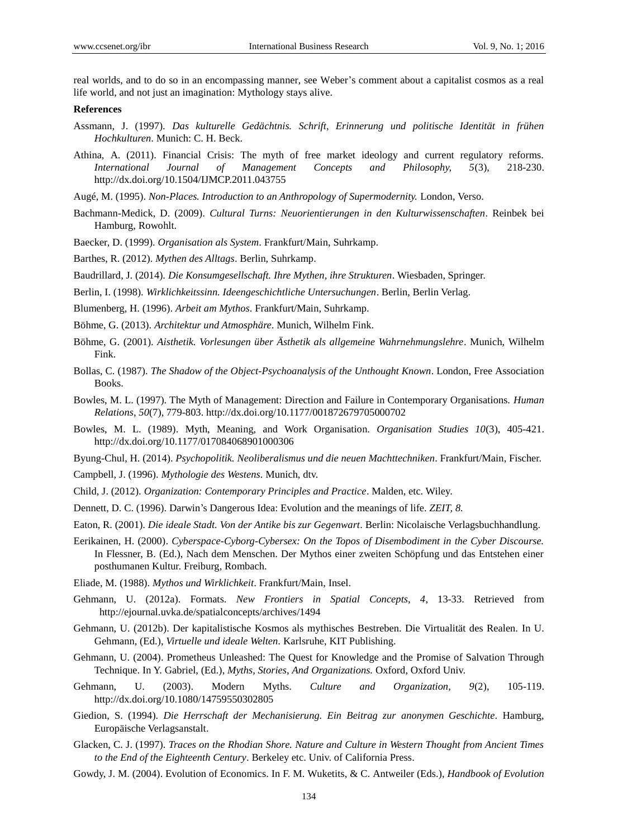real worlds, and to do so in an encompassing manner, see Weber's comment about a capitalist cosmos as a real life world, and not just an imagination: Mythology stays alive.

#### **References**

- Assmann, J. (1997). *Das kulturelle Gedächtnis. Schrift, Erinnerung und politische Identität in frühen Hochkulturen*. Munich: C. H. Beck.
- Athina, A. (2011). Financial Crisis: The myth of free market ideology and current regulatory reforms. *International Journal of Management Concepts and Philosophy, 5*(3), 218-230. <http://dx.doi.org/10.1504/IJMCP.2011.043755>
- Augé, M. (1995). *Non-Places. Introduction to an Anthropology of Supermodernity.* London, Verso.
- Bachmann-Medick, D. (2009). *Cultural Turns: Neuorientierungen in den Kulturwissenschaften*. Reinbek bei Hamburg, Rowohlt.
- Baecker, D. (1999). *Organisation als System*. Frankfurt/Main, Suhrkamp.

Barthes, R. (2012). *Mythen des Alltags*. Berlin, Suhrkamp.

- Baudrillard, J. (2014). *Die Konsumgesellschaft. Ihre Mythen, ihre Strukturen*. Wiesbaden, Springer.
- Berlin, I. (1998). *Wirklichkeitssinn. Ideengeschichtliche Untersuchungen*. Berlin, Berlin Verlag.
- Blumenberg, H. (1996). *Arbeit am Mythos*. Frankfurt/Main, Suhrkamp.
- Böhme, G. (2013). *Architektur und Atmosphäre*. Munich, Wilhelm Fink.
- Böhme, G. (2001). *Aisthetik. Vorlesungen über Ästhetik als allgemeine Wahrnehmungslehre*. Munich, Wilhelm Fink.
- Bollas, C. (1987). *The Shadow of the Object-Psychoanalysis of the Unthought Known*. London, Free Association Books.
- Bowles, M. L. (1997). The Myth of Management: Direction and Failure in Contemporary Organisations. *Human Relations, 50*(7), 779-803. <http://dx.doi.org/10.1177/001872679705000702>
- Bowles, M. L. (1989). Myth, Meaning, and Work Organisation. *Organisation Studies 10*(3), 405-421. <http://dx.doi.org/10.1177/017084068901000306>
- Byung-Chul, H. (2014). *Psychopolitik. Neoliberalismus und die neuen Machttechniken*. Frankfurt/Main, Fischer.
- Campbell, J. (1996). *Mythologie des Westens*. Munich, dtv.
- Child, J. (2012). *Organization: Contemporary Principles and Practice*. Malden, etc. Wiley.
- Dennett, D. C. (1996). Darwin's Dangerous Idea: Evolution and the meanings of life. *ZEIT, 8.*
- Eaton, R. (2001). *Die ideale Stadt. Von der Antike bis zur Gegenwart*. Berlin: Nicolaische Verlagsbuchhandlung.
- Eerikainen, H. (2000). *Cyberspace-Cyborg-Cybersex: On the Topos of Disembodiment in the Cyber Discourse.* In Flessner, B. (Ed.), Nach dem Menschen. Der Mythos einer zweiten Schöpfung und das Entstehen einer posthumanen Kultur. Freiburg, Rombach.
- Eliade, M. (1988). *Mythos und Wirklichkeit*. Frankfurt/Main, Insel.
- Gehmann, U. (2012a). Formats. *New Frontiers in Spatial Concepts, 4*, 13-33. Retrieved from http://ejournal.uvka.de/spatialconcepts/archives/1494
- Gehmann, U. (2012b). Der kapitalistische Kosmos als mythisches Bestreben. Die Virtualität des Realen. In U. Gehmann, (Ed.), *Virtuelle und ideale Welten.* Karlsruhe, KIT Publishing.
- Gehmann, U. (2004). Prometheus Unleashed: The Quest for Knowledge and the Promise of Salvation Through Technique. In Y. Gabriel, (Ed.), *Myths, Stories, And Organizations.* Oxford, Oxford Univ.
- Gehmann, U. (2003). Modern Myths. *Culture and Organization, 9*(2), 105-119. <http://dx.doi.org/10.1080/14759550302805>
- Giedion, S. (1994). *Die Herrschaft der Mechanisierung. Ein Beitrag zur anonymen Geschichte*. Hamburg, Europäische Verlagsanstalt.
- Glacken, C. J. (1997). *Traces on the Rhodian Shore. Nature and Culture in Western Thought from Ancient Times to the End of the Eighteenth Century*. Berkeley etc. Univ. of California Press.
- Gowdy, J. M. (2004). Evolution of Economics. In F. M. Wuketits, & C. Antweiler (Eds.), *Handbook of Evolution*